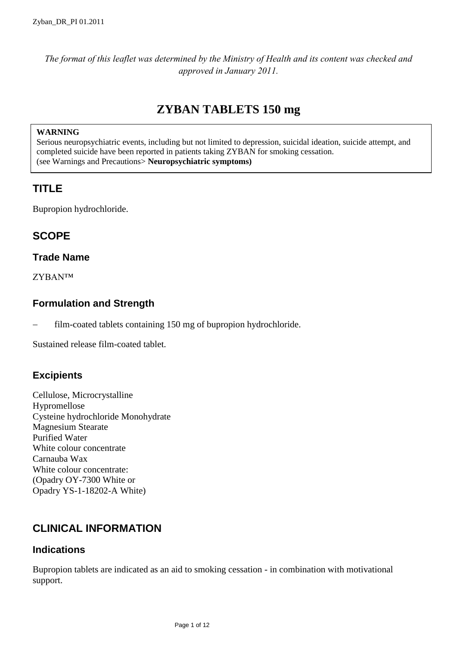*The format of this leaflet was determined by the Ministry of Health and its content was checked and approved in January 2011.*

# **ZYBAN TABLETS 150 mg**

#### **WARNING**

Serious neuropsychiatric events, including but not limited to depression, suicidal ideation, suicide attempt, and completed suicide have been reported in patients taking ZYBAN for smoking cessation. (see Warnings and Precautions> **Neuropsychiatric symptoms)**

## **TITLE**

Bupropion hydrochloride.

## **SCOPE**

## **Trade Name**

ZYBAN™

## **Formulation and Strength**

film-coated tablets containing 150 mg of bupropion hydrochloride.

Sustained release film-coated tablet.

## **Excipients**

Cellulose, Microcrystalline Hypromellose Cysteine hydrochloride Monohydrate Magnesium Stearate Purified Water White colour concentrate Carnauba Wax White colour concentrate: (Opadry OY-7300 White or Opadry YS-1-18202-A White)

# **CLINICAL INFORMATION**

#### **Indications**

Bupropion tablets are indicated as an aid to smoking cessation - in combination with motivational support.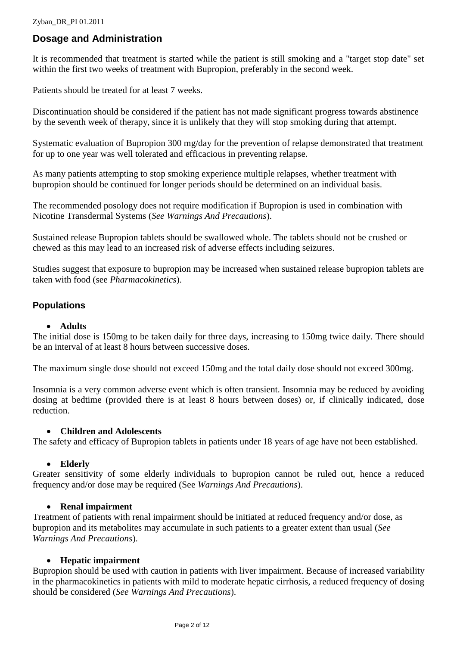## **Dosage and Administration**

It is recommended that treatment is started while the patient is still smoking and a "target stop date" set within the first two weeks of treatment with Bupropion, preferably in the second week.

Patients should be treated for at least 7 weeks.

Discontinuation should be considered if the patient has not made significant progress towards abstinence by the seventh week of therapy, since it is unlikely that they will stop smoking during that attempt.

Systematic evaluation of Bupropion 300 mg/day for the prevention of relapse demonstrated that treatment for up to one year was well tolerated and efficacious in preventing relapse.

As many patients attempting to stop smoking experience multiple relapses, whether treatment with bupropion should be continued for longer periods should be determined on an individual basis.

The recommended posology does not require modification if Bupropion is used in combination with Nicotine Transdermal Systems (*See Warnings And Precautions*).

Sustained release Bupropion tablets should be swallowed whole. The tablets should not be crushed or chewed as this may lead to an increased risk of adverse effects including seizures.

Studies suggest that exposure to bupropion may be increased when sustained release bupropion tablets are taken with food (see *Pharmacokinetics*).

#### **Populations**

#### **Adults**

The initial dose is 150mg to be taken daily for three days, increasing to 150mg twice daily. There should be an interval of at least 8 hours between successive doses.

The maximum single dose should not exceed 150mg and the total daily dose should not exceed 300mg.

Insomnia is a very common adverse event which is often transient. Insomnia may be reduced by avoiding dosing at bedtime (provided there is at least 8 hours between doses) or, if clinically indicated, dose reduction.

#### **Children and Adolescents**

The safety and efficacy of Bupropion tablets in patients under 18 years of age have not been established.

#### **Elderly**

Greater sensitivity of some elderly individuals to bupropion cannot be ruled out, hence a reduced frequency and/or dose may be required (See *Warnings And Precautions*).

#### **Renal impairment**

Treatment of patients with renal impairment should be initiated at reduced frequency and/or dose, as bupropion and its metabolites may accumulate in such patients to a greater extent than usual (*See Warnings And Precautions*).

#### **Hepatic impairment**

Bupropion should be used with caution in patients with liver impairment. Because of increased variability in the pharmacokinetics in patients with mild to moderate hepatic cirrhosis, a reduced frequency of dosing should be considered (*See Warnings And Precautions*).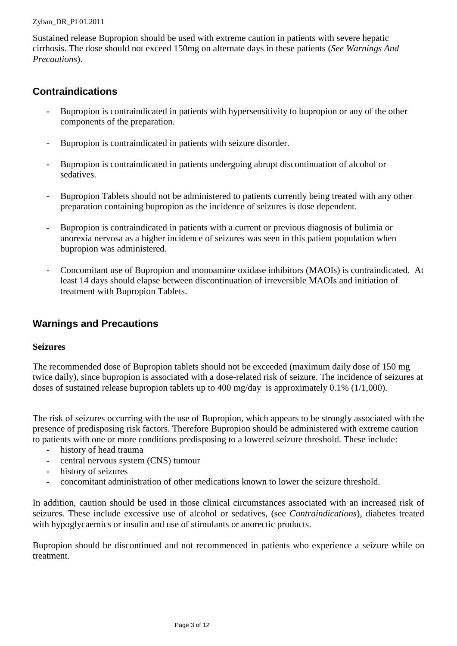Sustained release Bupropion should be used with extreme caution in patients with severe hepatic cirrhosis. The dose should not exceed 150mg on alternate days in these patients (*See Warnings And Precautions*).

## **Contraindications**

- *-* Bupropion is contraindicated in patients with hypersensitivity to bupropion or any of the other components of the preparation.
- *-* Bupropion is contraindicated in patients with seizure disorder.
- *-* Bupropion is contraindicated in patients undergoing abrupt discontinuation of alcohol or sedatives.
- *-* Bupropion Tablets should not be administered to patients currently being treated with any other preparation containing bupropion as the incidence of seizures is dose dependent.
- *-* Bupropion is contraindicated in patients with a current or previous diagnosis of bulimia or anorexia nervosa as a higher incidence of seizures was seen in this patient population when bupropion was administered.
- *-* Concomitant use of Bupropion and monoamine oxidase inhibitors (MAOIs) is contraindicated. At least 14 days should elapse between discontinuation of irreversible MAOIs and initiation of treatment with Bupropion Tablets.

## **Warnings and Precautions**

#### **Seizures**

The recommended dose of Bupropion tablets should not be exceeded (maximum daily dose of 150 mg twice daily), since bupropion is associated with a dose-related risk of seizure. The incidence of seizures at doses of sustained release bupropion tablets up to 400 mg/day is approximately 0.1% (1/1,000).

The risk of seizures occurring with the use of Bupropion, which appears to be strongly associated with the presence of predisposing risk factors. Therefore Bupropion should be administered with extreme caution to patients with one or more conditions predisposing to a lowered seizure threshold. These include:

- *-* history of head trauma
- *-* central nervous system (CNS) tumour
- *-* history of seizures
- *-* concomitant administration of other medications known to lower the seizure threshold.

In addition, caution should be used in those clinical circumstances associated with an increased risk of seizures. These include excessive use of alcohol or sedatives, (see *Contraindications*), diabetes treated with hypoglycaemics or insulin and use of stimulants or anorectic products.

Bupropion should be discontinued and not recommenced in patients who experience a seizure while on treatment.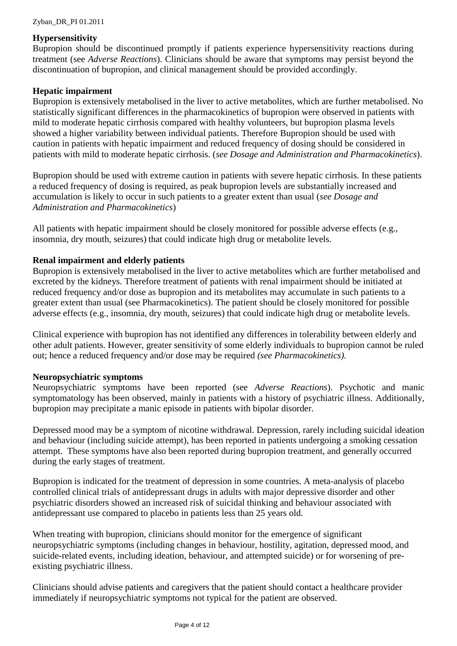#### **Hypersensitivity**

Bupropion should be discontinued promptly if patients experience hypersensitivity reactions during treatment (see *Adverse Reactions*). Clinicians should be aware that symptoms may persist beyond the discontinuation of bupropion, and clinical management should be provided accordingly.

#### **Hepatic impairment**

Bupropion is extensively metabolised in the liver to active metabolites, which are further metabolised. No statistically significant differences in the pharmacokinetics of bupropion were observed in patients with mild to moderate hepatic cirrhosis compared with healthy volunteers, but bupropion plasma levels showed a higher variability between individual patients. Therefore Bupropion should be used with caution in patients with hepatic impairment and reduced frequency of dosing should be considered in patients with mild to moderate hepatic cirrhosis. (*see Dosage and Administration and Pharmacokinetics*).

Bupropion should be used with extreme caution in patients with severe hepatic cirrhosis. In these patients a reduced frequency of dosing is required, as peak bupropion levels are substantially increased and accumulation is likely to occur in such patients to a greater extent than usual (*see Dosage and Administration and Pharmacokinetics*)

All patients with hepatic impairment should be closely monitored for possible adverse effects (e.g., insomnia, dry mouth, seizures) that could indicate high drug or metabolite levels.

#### **Renal impairment and elderly patients**

Bupropion is extensively metabolised in the liver to active metabolites which are further metabolised and excreted by the kidneys. Therefore treatment of patients with renal impairment should be initiated at reduced frequency and/or dose as bupropion and its metabolites may accumulate in such patients to a greater extent than usual (see Pharmacokinetics). The patient should be closely monitored for possible adverse effects (e.g., insomnia, dry mouth, seizures) that could indicate high drug or metabolite levels.

Clinical experience with bupropion has not identified any differences in tolerability between elderly and other adult patients. However, greater sensitivity of some elderly individuals to bupropion cannot be ruled out; hence a reduced frequency and/or dose may be required *(see Pharmacokinetics).*

#### **Neuropsychiatric symptoms**

Neuropsychiatric symptoms have been reported (see *Adverse Reactions*). Psychotic and manic symptomatology has been observed, mainly in patients with a history of psychiatric illness. Additionally, bupropion may precipitate a manic episode in patients with bipolar disorder.

Depressed mood may be a symptom of nicotine withdrawal. Depression, rarely including suicidal ideation and behaviour (including suicide attempt), has been reported in patients undergoing a smoking cessation attempt. These symptoms have also been reported during bupropion treatment, and generally occurred during the early stages of treatment.

Bupropion is indicated for the treatment of depression in some countries. A meta-analysis of placebo controlled clinical trials of antidepressant drugs in adults with major depressive disorder and other psychiatric disorders showed an increased risk of suicidal thinking and behaviour associated with antidepressant use compared to placebo in patients less than 25 years old.

When treating with bupropion, clinicians should monitor for the emergence of significant neuropsychiatric symptoms (including changes in behaviour, hostility, agitation, depressed mood, and suicide-related events, including ideation, behaviour, and attempted suicide) or for worsening of preexisting psychiatric illness.

Clinicians should advise patients and caregivers that the patient should contact a healthcare provider immediately if neuropsychiatric symptoms not typical for the patient are observed.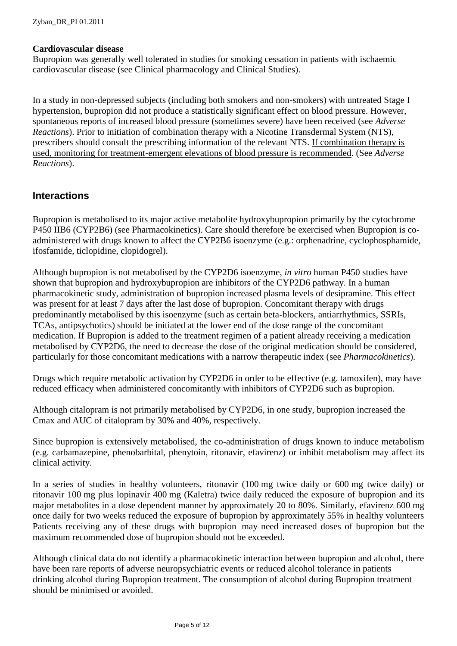#### **Cardiovascular disease**

Bupropion was generally well tolerated in studies for smoking cessation in patients with ischaemic cardiovascular disease (see Clinical pharmacology and Clinical Studies).

In a study in non-depressed subjects (including both smokers and non-smokers) with untreated Stage I hypertension, bupropion did not produce a statistically significant effect on blood pressure. However, spontaneous reports of increased blood pressure (sometimes severe) have been received (see *Adverse Reactions*). Prior to initiation of combination therapy with a Nicotine Transdermal System (NTS), prescribers should consult the prescribing information of the relevant NTS. If combination therapy is used, monitoring for treatment-emergent elevations of blood pressure is recommended. (See *Adverse Reactions*).

#### **Interactions**

Bupropion is metabolised to its major active metabolite hydroxybupropion primarily by the cytochrome P450 IIB6 (CYP2B6) (see Pharmacokinetics). Care should therefore be exercised when Bupropion is coadministered with drugs known to affect the CYP2B6 isoenzyme (e.g.: orphenadrine, cyclophosphamide, ifosfamide, ticlopidine, clopidogrel).

Although bupropion is not metabolised by the CYP2D6 isoenzyme, *in vitro* human P450 studies have shown that bupropion and hydroxybupropion are inhibitors of the CYP2D6 pathway. In a human pharmacokinetic study, administration of bupropion increased plasma levels of desipramine. This effect was present for at least 7 days after the last dose of bupropion. Concomitant therapy with drugs predominantly metabolised by this isoenzyme (such as certain beta-blockers, antiarrhythmics, SSRIs, TCAs, antipsychotics) should be initiated at the lower end of the dose range of the concomitant medication. If Bupropion is added to the treatment regimen of a patient already receiving a medication metabolised by CYP2D6, the need to decrease the dose of the original medication should be considered, particularly for those concomitant medications with a narrow therapeutic index (see *Pharmacokinetics*).

Drugs which require metabolic activation by CYP2D6 in order to be effective (e.g. tamoxifen), may have reduced efficacy when administered concomitantly with inhibitors of CYP2D6 such as bupropion.

Although citalopram is not primarily metabolised by CYP2D6, in one study, bupropion increased the Cmax and AUC of citalopram by 30% and 40%, respectively.

Since bupropion is extensively metabolised, the co-administration of drugs known to induce metabolism (e.g. carbamazepine, phenobarbital, phenytoin, ritonavir, efavirenz) or inhibit metabolism may affect its clinical activity.

In a series of studies in healthy volunteers, ritonavir (100 mg twice daily or 600 mg twice daily) or ritonavir 100 mg plus lopinavir 400 mg (Kaletra) twice daily reduced the exposure of bupropion and its major metabolites in a dose dependent manner by approximately 20 to 80%. Similarly, efavirenz 600 mg once daily for two weeks reduced the exposure of bupropion by approximately 55% in healthy volunteers Patients receiving any of these drugs with bupropion may need increased doses of bupropion but the maximum recommended dose of bupropion should not be exceeded.

Although clinical data do not identify a pharmacokinetic interaction between bupropion and alcohol, there have been rare reports of adverse neuropsychiatric events or reduced alcohol tolerance in patients drinking alcohol during Bupropion treatment. The consumption of alcohol during Bupropion treatment should be minimised or avoided.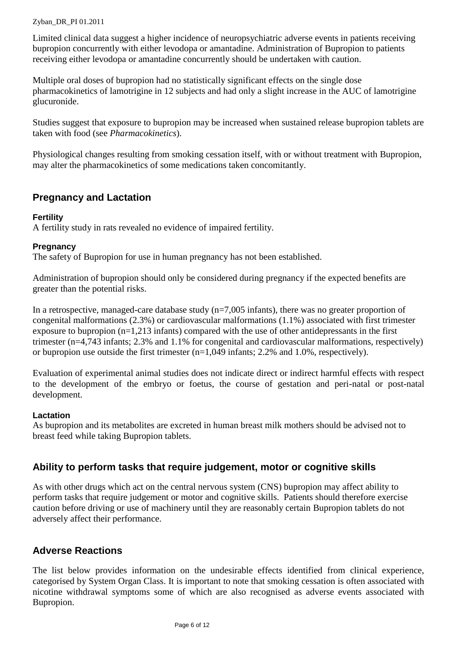Limited clinical data suggest a higher incidence of neuropsychiatric adverse events in patients receiving bupropion concurrently with either levodopa or amantadine. Administration of Bupropion to patients receiving either levodopa or amantadine concurrently should be undertaken with caution.

Multiple oral doses of bupropion had no statistically significant effects on the single dose pharmacokinetics of lamotrigine in 12 subjects and had only a slight increase in the AUC of lamotrigine glucuronide.

Studies suggest that exposure to bupropion may be increased when sustained release bupropion tablets are taken with food (see *Pharmacokinetics*).

Physiological changes resulting from smoking cessation itself, with or without treatment with Bupropion, may alter the pharmacokinetics of some medications taken concomitantly.

## **Pregnancy and Lactation**

#### **Fertility**

A fertility study in rats revealed no evidence of impaired fertility.

#### **Pregnancy**

The safety of Bupropion for use in human pregnancy has not been established.

Administration of bupropion should only be considered during pregnancy if the expected benefits are greater than the potential risks.

In a retrospective, managed-care database study  $(n=7,005 \text{ infants})$ , there was no greater proportion of congenital malformations (2.3%) or cardiovascular malformations (1.1%) associated with first trimester exposure to bupropion (n=1,213 infants) compared with the use of other antidepressants in the first trimester (n=4,743 infants; 2.3% and 1.1% for congenital and cardiovascular malformations, respectively) or bupropion use outside the first trimester (n=1,049 infants; 2.2% and 1.0%, respectively).

Evaluation of experimental animal studies does not indicate direct or indirect harmful effects with respect to the development of the embryo or foetus, the course of gestation and peri-natal or post-natal development.

#### **Lactation**

As bupropion and its metabolites are excreted in human breast milk mothers should be advised not to breast feed while taking Bupropion tablets.

## **Ability to perform tasks that require judgement, motor or cognitive skills**

As with other drugs which act on the central nervous system (CNS) bupropion may affect ability to perform tasks that require judgement or motor and cognitive skills. Patients should therefore exercise caution before driving or use of machinery until they are reasonably certain Bupropion tablets do not adversely affect their performance.

## **Adverse Reactions**

The list below provides information on the undesirable effects identified from clinical experience, categorised by System Organ Class. It is important to note that smoking cessation is often associated with nicotine withdrawal symptoms some of which are also recognised as adverse events associated with Bupropion.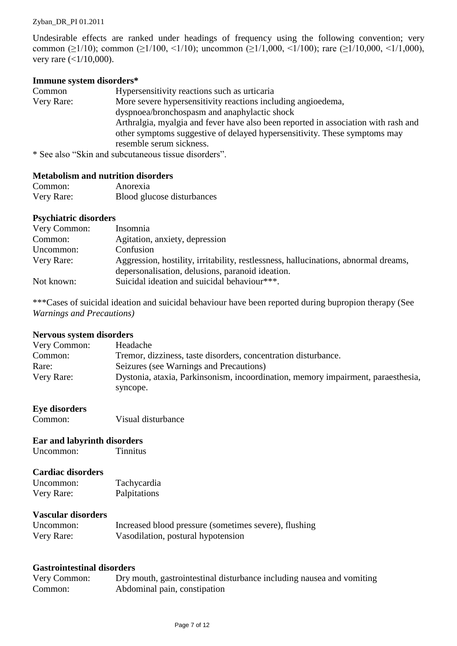Undesirable effects are ranked under headings of frequency using the following convention; very common ( $\geq$ 1/10); common ( $\geq$ 1/100, <1/10); uncommon ( $\geq$ 1/1,000, <1/100); rare ( $\geq$ 1/10,000, <1/1,000), very rare (<1/10,000).

#### **Immune system disorders\***

| Common     | Hypersensitivity reactions such as urticaria                                       |
|------------|------------------------------------------------------------------------------------|
| Very Rare: | More severe hypersensitivity reactions including angioedema,                       |
|            | dyspnoea/bronchospasm and anaphylactic shock                                       |
|            | Arthralgia, myalgia and fever have also been reported in association with rash and |
|            | other symptoms suggestive of delayed hypersensitivity. These symptoms may          |
|            | resemble serum sickness.                                                           |
|            | $\star$ $\Omega_{\alpha\alpha}$ also "Clip and subgutangeous tissue disorders"     |

\* See also "Skin and subcutaneous tissue disorders".

#### **Metabolism and nutrition disorders**

| Common:    | Anorexia                   |
|------------|----------------------------|
| Very Rare: | Blood glucose disturbances |

#### **Psychiatric disorders**

| Very Common: | Insomnia                                                                                                                                |
|--------------|-----------------------------------------------------------------------------------------------------------------------------------------|
| Common:      | Agitation, anxiety, depression                                                                                                          |
| Uncommon:    | Confusion                                                                                                                               |
| Very Rare:   | Aggression, hostility, irritability, restlessness, hallucinations, abnormal dreams,<br>depersonalisation, delusions, paranoid ideation. |
| Not known:   | Suicidal ideation and suicidal behaviour***.                                                                                            |

\*\*\*Cases of suicidal ideation and suicidal behaviour have been reported during bupropion therapy (See *Warnings and Precautions)*

#### **Nervous system disorders**

| Headache                                                                         |
|----------------------------------------------------------------------------------|
| Tremor, dizziness, taste disorders, concentration disturbance.                   |
| Seizures (see Warnings and Precautions)                                          |
| Dystonia, ataxia, Parkinsonism, incoordination, memory impairment, paraesthesia, |
| syncope.                                                                         |
|                                                                                  |

# **Eye disorders**

Visual disturbance

#### **Ear and labyrinth disorders**

Uncommon: Tinnitus

#### **Cardiac disorders**

| Uncommon:  | Tachycardia  |
|------------|--------------|
| Very Rare: | Palpitations |

#### **Vascular disorders**

| Uncommon:  | Increased blood pressure (sometimes severe), flushing |
|------------|-------------------------------------------------------|
| Very Rare: | Vasodilation, postural hypotension                    |

#### **Gastrointestinal disorders**

| Very Common: | Dry mouth, gastrointestinal disturbance including nausea and vomiting |
|--------------|-----------------------------------------------------------------------|
| Common:      | Abdominal pain, constipation                                          |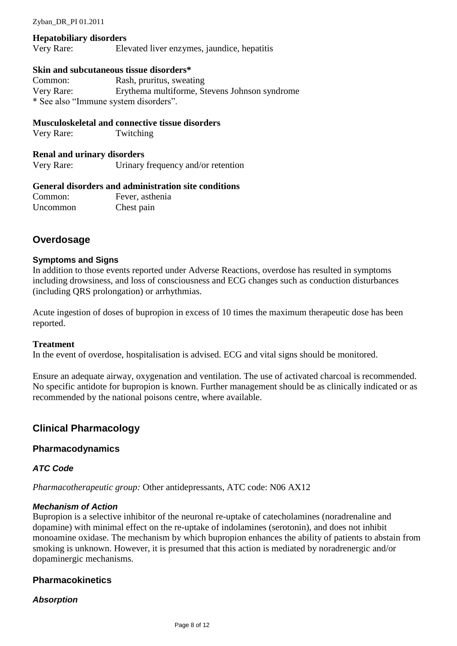#### **Hepatobiliary disorders**

Very Rare: Elevated liver enzymes, jaundice, hepatitis

#### **Skin and subcutaneous tissue disorders\***

Common: Rash, pruritus, sweating Very Rare: Erythema multiforme, Stevens Johnson syndrome \* See also "Immune system disorders".

#### **Musculoskeletal and connective tissue disorders**

Very Rare: Twitching

#### **Renal and urinary disorders**

Very Rare: Urinary frequency and/or retention

#### **General disorders and administration site conditions**

Common: Fever, asthenia Uncommon Chest pain

## **Overdosage**

#### **Symptoms and Signs**

In addition to those events reported under Adverse Reactions, overdose has resulted in symptoms including drowsiness, and loss of consciousness and ECG changes such as conduction disturbances (including QRS prolongation) or arrhythmias.

Acute ingestion of doses of bupropion in excess of 10 times the maximum therapeutic dose has been reported.

#### **Treatment**

In the event of overdose, hospitalisation is advised. ECG and vital signs should be monitored.

Ensure an adequate airway, oxygenation and ventilation. The use of activated charcoal is recommended. No specific antidote for bupropion is known. Further management should be as clinically indicated or as recommended by the national poisons centre, where available.

#### **Clinical Pharmacology**

#### **Pharmacodynamics**

#### *ATC Code*

*Pharmacotherapeutic group:* Other antidepressants, ATC code: N06 AX12

#### *Mechanism of Action*

Bupropion is a selective inhibitor of the neuronal re-uptake of catecholamines (noradrenaline and dopamine) with minimal effect on the re-uptake of indolamines (serotonin), and does not inhibit monoamine oxidase. The mechanism by which bupropion enhances the ability of patients to abstain from smoking is unknown. However, it is presumed that this action is mediated by noradrenergic and/or dopaminergic mechanisms.

#### **Pharmacokinetics**

#### *Absorption*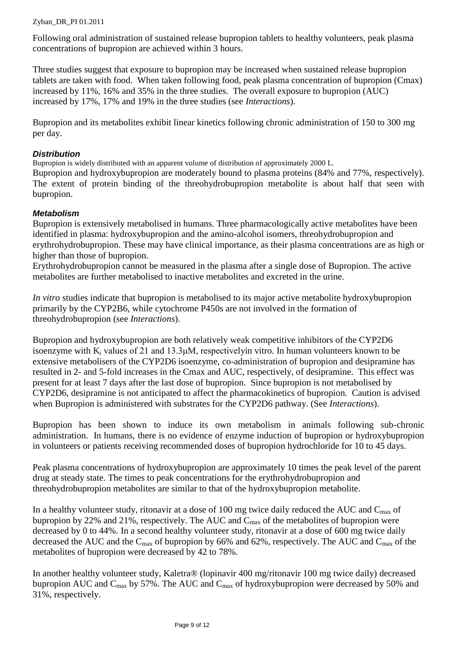Following oral administration of sustained release bupropion tablets to healthy volunteers, peak plasma concentrations of bupropion are achieved within 3 hours.

Three studies suggest that exposure to bupropion may be increased when sustained release bupropion tablets are taken with food. When taken following food, peak plasma concentration of bupropion (Cmax) increased by 11%, 16% and 35% in the three studies. The overall exposure to bupropion (AUC) increased by 17%, 17% and 19% in the three studies (see *Interactions*).

Bupropion and its metabolites exhibit linear kinetics following chronic administration of 150 to 300 mg per day.

#### *Distribution*

Bupropion is widely distributed with an apparent volume of distribution of approximately 2000 L.

Bupropion and hydroxybupropion are moderately bound to plasma proteins (84% and 77%, respectively). The extent of protein binding of the threohydrobupropion metabolite is about half that seen with bupropion.

## *Metabolism*

Bupropion is extensively metabolised in humans. Three pharmacologically active metabolites have been identified in plasma: hydroxybupropion and the amino-alcohol isomers, threohydrobupropion and erythrohydrobupropion. These may have clinical importance, as their plasma concentrations are as high or higher than those of bupropion.

Erythrohydrobupropion cannot be measured in the plasma after a single dose of Bupropion. The active metabolites are further metabolised to inactive metabolites and excreted in the urine.

*In vitro* studies indicate that bupropion is metabolised to its major active metabolite hydroxybupropion primarily by the CYP2B6, while cytochrome P450s are not involved in the formation of threohydrobupropion (see *Interactions*).

Bupropion and hydroxybupropion are both relatively weak competitive inhibitors of the CYP2D6 isoenzyme with  $K_i$  values of 21 and 13.3  $\mu$ M, respectively in vitro. In human volunteers known to be extensive metabolisers of the CYP2D6 isoenzyme, co-administration of bupropion and desipramine has resulted in 2- and 5-fold increases in the Cmax and AUC, respectively, of desipramine. This effect was present for at least 7 days after the last dose of bupropion. Since bupropion is not metabolised by CYP2D6, desipramine is not anticipated to affect the pharmacokinetics of bupropion. Caution is advised when Bupropion is administered with substrates for the CYP2D6 pathway. (See *Interactions*).

Bupropion has been shown to induce its own metabolism in animals following sub-chronic administration. In humans, there is no evidence of enzyme induction of bupropion or hydroxybupropion in volunteers or patients receiving recommended doses of bupropion hydrochloride for 10 to 45 days.

Peak plasma concentrations of hydroxybupropion are approximately 10 times the peak level of the parent drug at steady state. The times to peak concentrations for the erythrohydrobupropion and threohydrobupropion metabolites are similar to that of the hydroxybupropion metabolite.

In a healthy volunteer study, ritonavir at a dose of 100 mg twice daily reduced the AUC and C<sub>max</sub> of bupropion by 22% and 21%, respectively. The AUC and C<sub>max</sub> of the metabolites of bupropion were decreased by 0 to 44%. In a second healthy volunteer study, ritonavir at a dose of 600 mg twice daily decreased the AUC and the  $C_{\text{max}}$  of bupropion by 66% and 62%, respectively. The AUC and  $C_{\text{max}}$  of the metabolites of bupropion were decreased by 42 to 78%.

In another healthy volunteer study, Kaletra® (lopinavir 400 mg/ritonavir 100 mg twice daily) decreased bupropion AUC and C<sub>max</sub> by 57%. The AUC and C<sub>max</sub> of hydroxybupropion were decreased by 50% and 31%, respectively.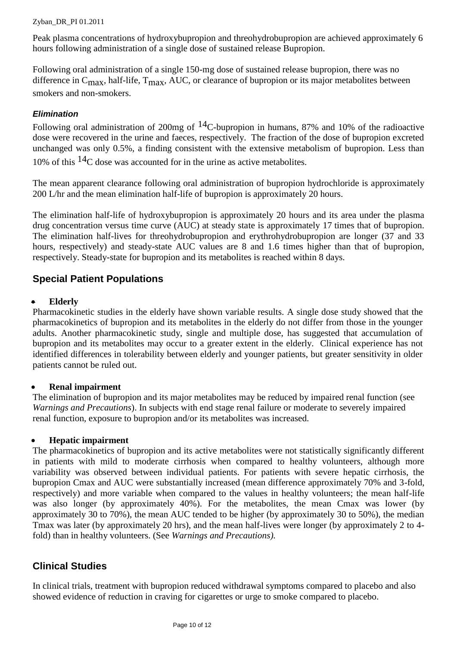Peak plasma concentrations of hydroxybupropion and threohydrobupropion are achieved approximately 6 hours following administration of a single dose of sustained release Bupropion.

Following oral administration of a single 150-mg dose of sustained release bupropion, there was no difference in  $C_{\text{max}}$ , half-life,  $T_{\text{max}}$ , AUC, or clearance of bupropion or its major metabolites between smokers and non-smokers.

## *Elimination*

Following oral administration of 200mg of  $^{14}$ C-bupropion in humans, 87% and 10% of the radioactive dose were recovered in the urine and faeces, respectively. The fraction of the dose of bupropion excreted unchanged was only 0.5%, a finding consistent with the extensive metabolism of bupropion. Less than 10% of this  $14$ C dose was accounted for in the urine as active metabolites.

The mean apparent clearance following oral administration of bupropion hydrochloride is approximately 200 L/hr and the mean elimination half-life of bupropion is approximately 20 hours.

The elimination half-life of hydroxybupropion is approximately 20 hours and its area under the plasma drug concentration versus time curve (AUC) at steady state is approximately 17 times that of bupropion. The elimination half-lives for threohydrobupropion and erythrohydrobupropion are longer (37 and 33 hours, respectively) and steady-state AUC values are 8 and 1.6 times higher than that of bupropion, respectively. Steady-state for bupropion and its metabolites is reached within 8 days.

## **Special Patient Populations**

#### **Elderly**

Pharmacokinetic studies in the elderly have shown variable results. A single dose study showed that the pharmacokinetics of bupropion and its metabolites in the elderly do not differ from those in the younger adults. Another pharmacokinetic study, single and multiple dose, has suggested that accumulation of bupropion and its metabolites may occur to a greater extent in the elderly. Clinical experience has not identified differences in tolerability between elderly and younger patients, but greater sensitivity in older patients cannot be ruled out.

#### **Renal impairment**

The elimination of bupropion and its major metabolites may be reduced by impaired renal function (see *Warnings and Precautions*). In subjects with end stage renal failure or moderate to severely impaired renal function, exposure to bupropion and/or its metabolites was increased.

#### **Hepatic impairment**

The pharmacokinetics of bupropion and its active metabolites were not statistically significantly different in patients with mild to moderate cirrhosis when compared to healthy volunteers, although more variability was observed between individual patients. For patients with severe hepatic cirrhosis, the bupropion Cmax and AUC were substantially increased (mean difference approximately 70% and 3-fold, respectively) and more variable when compared to the values in healthy volunteers; the mean half-life was also longer (by approximately 40%). For the metabolites, the mean Cmax was lower (by approximately 30 to 70%), the mean AUC tended to be higher (by approximately 30 to 50%), the median Tmax was later (by approximately 20 hrs), and the mean half-lives were longer (by approximately 2 to 4 fold) than in healthy volunteers. (See *Warnings and Precautions).*

## **Clinical Studies**

In clinical trials, treatment with bupropion reduced withdrawal symptoms compared to placebo and also showed evidence of reduction in craving for cigarettes or urge to smoke compared to placebo.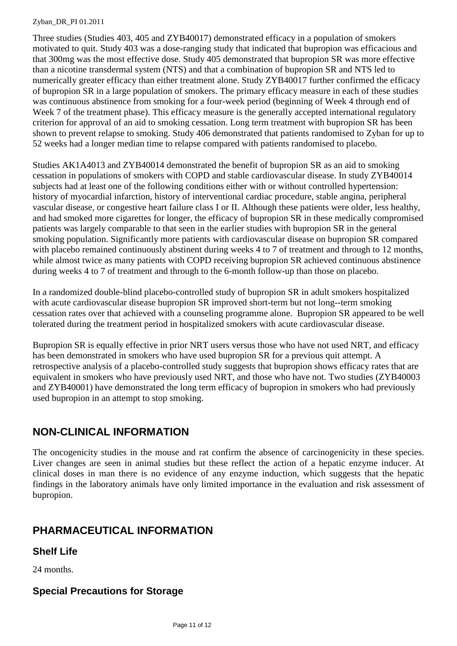Three studies (Studies 403, 405 and ZYB40017) demonstrated efficacy in a population of smokers motivated to quit. Study 403 was a dose-ranging study that indicated that bupropion was efficacious and that 300mg was the most effective dose. Study 405 demonstrated that bupropion SR was more effective than a nicotine transdermal system (NTS) and that a combination of bupropion SR and NTS led to numerically greater efficacy than either treatment alone. Study ZYB40017 further confirmed the efficacy of bupropion SR in a large population of smokers. The primary efficacy measure in each of these studies was continuous abstinence from smoking for a four-week period (beginning of Week 4 through end of Week 7 of the treatment phase). This efficacy measure is the generally accepted international regulatory criterion for approval of an aid to smoking cessation. Long term treatment with bupropion SR has been shown to prevent relapse to smoking. Study 406 demonstrated that patients randomised to Zyban for up to 52 weeks had a longer median time to relapse compared with patients randomised to placebo.

Studies AK1A4013 and ZYB40014 demonstrated the benefit of bupropion SR as an aid to smoking cessation in populations of smokers with COPD and stable cardiovascular disease. In study ZYB40014 subjects had at least one of the following conditions either with or without controlled hypertension: history of myocardial infarction, history of interventional cardiac procedure, stable angina, peripheral vascular disease, or congestive heart failure class I or II. Although these patients were older, less healthy, and had smoked more cigarettes for longer, the efficacy of bupropion SR in these medically compromised patients was largely comparable to that seen in the earlier studies with bupropion SR in the general smoking population. Significantly more patients with cardiovascular disease on bupropion SR compared with placebo remained continuously abstinent during weeks 4 to 7 of treatment and through to 12 months, while almost twice as many patients with COPD receiving bupropion SR achieved continuous abstinence during weeks 4 to 7 of treatment and through to the 6-month follow-up than those on placebo.

In a randomized double-blind placebo-controlled study of bupropion SR in adult smokers hospitalized with acute cardiovascular disease bupropion SR improved short-term but not long--term smoking cessation rates over that achieved with a counseling programme alone. Bupropion SR appeared to be well tolerated during the treatment period in hospitalized smokers with acute cardiovascular disease.

Bupropion SR is equally effective in prior NRT users versus those who have not used NRT, and efficacy has been demonstrated in smokers who have used bupropion SR for a previous quit attempt. A retrospective analysis of a placebo-controlled study suggests that bupropion shows efficacy rates that are equivalent in smokers who have previously used NRT, and those who have not. Two studies (ZYB40003 and ZYB40001) have demonstrated the long term efficacy of bupropion in smokers who had previously used bupropion in an attempt to stop smoking.

# **NON-CLINICAL INFORMATION**

The oncogenicity studies in the mouse and rat confirm the absence of carcinogenicity in these species. Liver changes are seen in animal studies but these reflect the action of a hepatic enzyme inducer. At clinical doses in man there is no evidence of any enzyme induction, which suggests that the hepatic findings in the laboratory animals have only limited importance in the evaluation and risk assessment of bupropion.

# **PHARMACEUTICAL INFORMATION**

## **Shelf Life**

24 months.

## **Special Precautions for Storage**